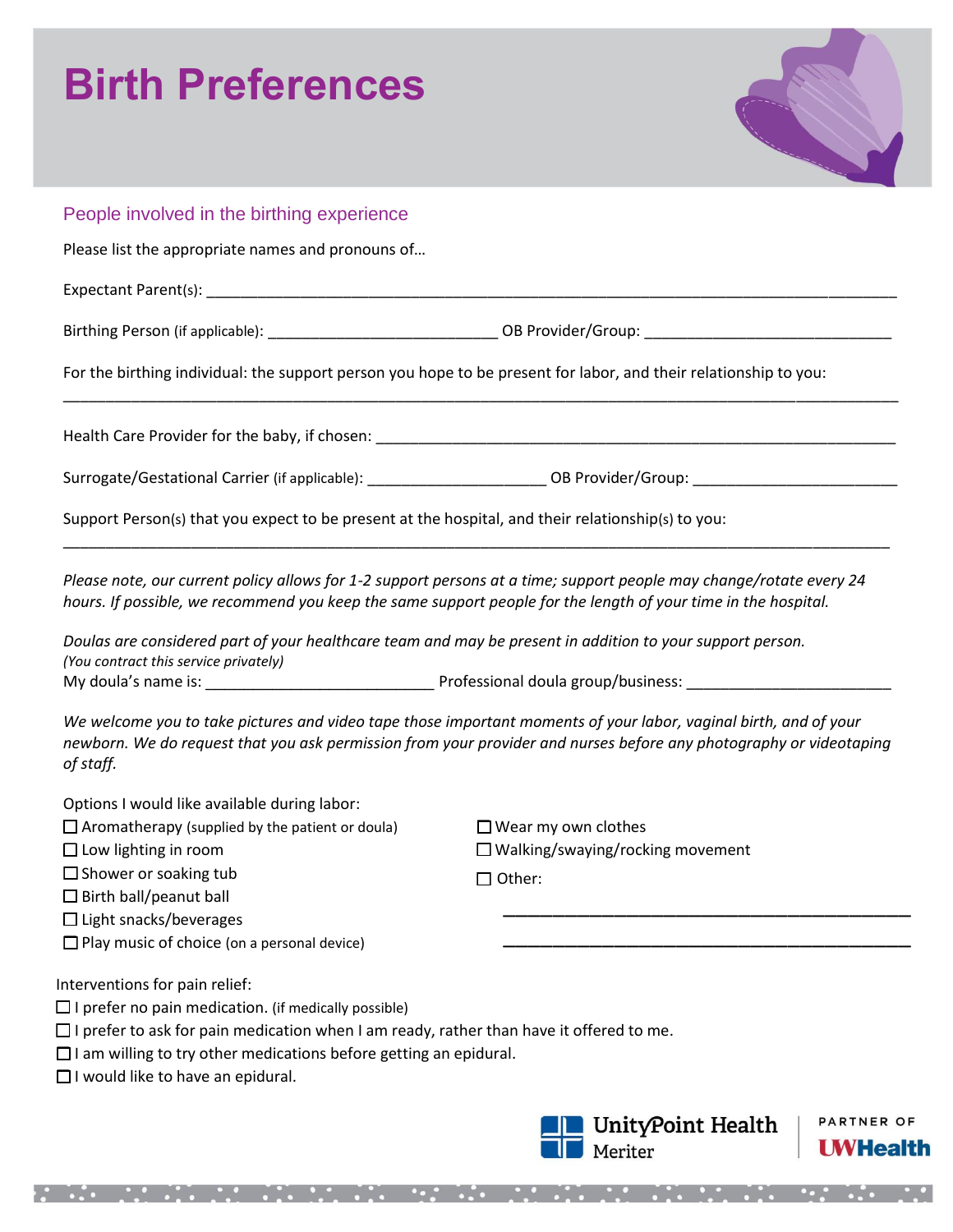## **Birth Preferences**



## People involved in the birthing experience Please list the appropriate names and pronouns of… Expectant Parent(s): \_\_\_\_\_\_\_\_\_\_\_\_\_\_\_\_\_\_\_\_\_\_\_\_\_\_\_\_\_\_\_\_\_\_\_\_\_\_\_\_\_\_\_\_\_\_\_\_\_\_\_\_\_\_\_\_\_\_\_\_\_\_\_\_\_\_\_\_\_\_\_\_\_\_\_\_\_\_\_\_\_ Birthing Person (if applicable): \_\_\_\_\_\_\_\_\_\_\_\_\_\_\_\_\_\_\_\_\_\_\_\_\_\_\_ OB Provider/Group: \_\_\_\_\_\_\_\_\_\_\_\_\_\_\_\_\_\_\_\_\_\_\_\_\_\_\_\_\_ For the birthing individual: the support person you hope to be present for labor, and their relationship to you: \_\_\_\_\_\_\_\_\_\_\_\_\_\_\_\_\_\_\_\_\_\_\_\_\_\_\_\_\_\_\_\_\_\_\_\_\_\_\_\_\_\_\_\_\_\_\_\_\_\_\_\_\_\_\_\_\_\_\_\_\_\_\_\_\_\_\_\_\_\_\_\_\_\_\_\_\_\_\_\_\_\_\_\_\_\_\_\_\_\_\_\_\_\_\_\_\_\_ Health Care Provider for the baby, if chosen: \_\_\_\_\_\_\_\_\_\_\_\_\_\_\_\_\_\_\_\_\_\_\_\_\_\_\_\_\_\_\_\_\_\_ Surrogate/Gestational Carrier (if applicable): \_\_\_\_\_\_\_\_\_\_\_\_\_\_\_\_\_\_\_\_\_\_\_\_\_\_OB Provider/Group: \_\_\_\_\_\_\_\_\_\_\_\_\_\_\_\_\_\_\_\_\_\_\_\_ Support Person(s) that you expect to be present at the hospital, and their relationship(s) to you: \_\_\_\_\_\_\_\_\_\_\_\_\_\_\_\_\_\_\_\_\_\_\_\_\_\_\_\_\_\_\_\_\_\_\_\_\_\_\_\_\_\_\_\_\_\_\_\_\_\_\_\_\_\_\_\_\_\_\_\_\_\_\_\_\_\_\_\_\_\_\_\_\_\_\_\_\_\_\_\_\_\_\_\_\_\_\_\_\_\_\_\_\_\_\_\_\_ *Please note, our current policy allows for 1-2 support persons at a time; support people may change/rotate every 24 hours. If possible, we recommend you keep the same support people for the length of your time in the hospital. Doulas are considered part of your healthcare team and may be present in addition to your support person. (You contract this service privately)* My doula's name is: \_\_\_\_\_\_\_\_\_\_\_\_\_\_\_\_\_\_\_\_\_\_\_\_ Professional doula group/business: \_\_\_\_\_\_\_\_\_\_\_\_\_\_\_\_\_\_\_\_\_\_\_\_ *We welcome you to take pictures and video tape those important moments of your labor, vaginal birth, and of your newborn. We do request that you ask permission from your provider and nurses before any photography or videotaping of staff.*  Options I would like available during labor:  $\Box$  Aromatherapy (supplied by the patient or doula)  $\Box$  Wear my own clothes  $\Box$  Low lighting in room  $\Box$  Walking/swaying/rocking movement □ Shower or soaking tub  $\Box$  Other: □ Birth ball/peanut ball \_\_\_\_\_\_\_\_\_\_\_\_\_\_\_\_\_\_\_\_\_\_\_\_\_\_\_\_\_\_\_\_\_ □ Light snacks/beverages \_\_\_\_\_\_\_\_\_\_\_\_\_\_\_\_\_\_\_\_\_\_\_\_\_\_\_\_\_\_\_\_\_  $\Box$  Play music of choice (on a personal device) Interventions for pain relief:  $\Box$  I prefer no pain medication. (if medically possible)  $\Box$  I prefer to ask for pain medication when I am ready, rather than have it offered to me.  $\Box$  I am willing to try other medications before getting an epidural. □ I would like to have an epidural. PARTNER OF UnityPoint Health Meriter **UWHealth**